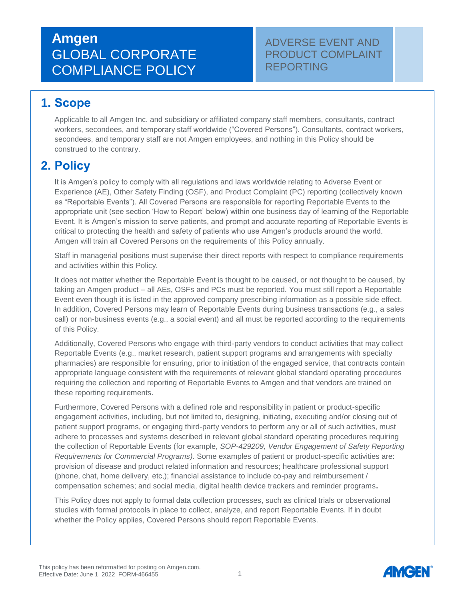### ADVERSE EVENT AND PRODUCT COMPLAINT REPORTING

## **1. Scope**

Applicable to all Amgen Inc. and subsidiary or affiliated company staff members, consultants, contract workers, secondees, and temporary staff worldwide ("Covered Persons"). Consultants, contract workers, secondees, and temporary staff are not Amgen employees, and nothing in this Policy should be construed to the contrary.

## **2. Policy**

It is Amgen's policy to comply with all regulations and laws worldwide relating to Adverse Event or Experience (AE), Other Safety Finding (OSF), and Product Complaint (PC) reporting (collectively known as "Reportable Events"). All Covered Persons are responsible for reporting Reportable Events to the appropriate unit (see section 'How to Report' below) within one business day of learning of the Reportable Event. It is Amgen's mission to serve patients, and prompt and accurate reporting of Reportable Events is critical to protecting the health and safety of patients who use Amgen's products around the world. Amgen will train all Covered Persons on the requirements of this Policy annually.

Staff in managerial positions must supervise their direct reports with respect to compliance requirements and activities within this Policy.

It does not matter whether the Reportable Event is thought to be caused, or not thought to be caused, by taking an Amgen product – all AEs, OSFs and PCs must be reported. You must still report a Reportable Event even though it is listed in the approved company prescribing information as a possible side effect. In addition, Covered Persons may learn of Reportable Events during business transactions (e.g., a sales call) or non-business events (e.g., a social event) and all must be reported according to the requirements of this Policy.

Additionally, Covered Persons who engage with third-party vendors to conduct activities that may collect Reportable Events (e.g., market research, patient support programs and arrangements with specialty pharmacies) are responsible for ensuring, prior to initiation of the engaged service, that contracts contain appropriate language consistent with the requirements of relevant global standard operating procedures requiring the collection and reporting of Reportable Events to Amgen and that vendors are trained on these reporting requirements.

Furthermore, Covered Persons with a defined role and responsibility in patient or product-specific engagement activities, including, but not limited to, designing, initiating, executing and/or closing out of patient support programs, or engaging third-party vendors to perform any or all of such activities, must adhere to processes and systems described in relevant global standard operating procedures requiring the collection of Reportable Events (for example, *SOP-429209, Vendor Engagement of Safety Reporting Requirements for Commercial Programs).* Some examples of patient or product-specific activities are: provision of disease and product related information and resources; healthcare professional support (phone, chat, home delivery, etc,); financial assistance to include co-pay and reimbursement / compensation schemes; and social media, digital health device trackers and reminder programs**.**

This Policy does not apply to formal data collection processes, such as clinical trials or observational studies with formal protocols in place to collect, analyze, and report Reportable Events. If in doubt whether the Policy applies, Covered Persons should report Reportable Events.

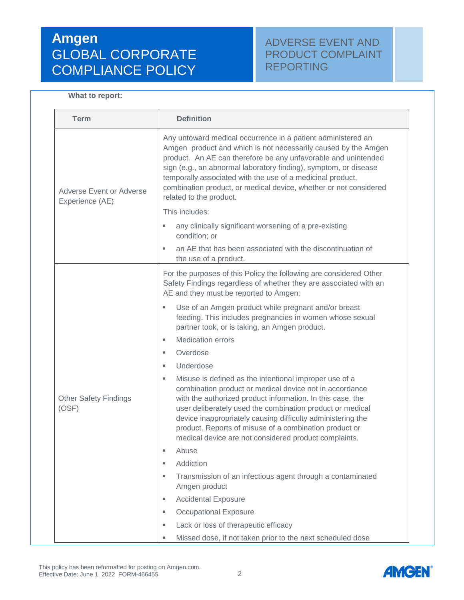### ADVERSE EVENT AND PRODUCT COMPLAINT REPORTING

#### **What to report:**

| <b>Term</b>                                 | <b>Definition</b>                                                                                                                                                                                                                                                                                                                                                                                                                   |
|---------------------------------------------|-------------------------------------------------------------------------------------------------------------------------------------------------------------------------------------------------------------------------------------------------------------------------------------------------------------------------------------------------------------------------------------------------------------------------------------|
| Adverse Event or Adverse<br>Experience (AE) | Any untoward medical occurrence in a patient administered an<br>Amgen product and which is not necessarily caused by the Amgen<br>product. An AE can therefore be any unfavorable and unintended<br>sign (e.g., an abnormal laboratory finding), symptom, or disease<br>temporally associated with the use of a medicinal product,<br>combination product, or medical device, whether or not considered<br>related to the product.  |
|                                             | This includes:                                                                                                                                                                                                                                                                                                                                                                                                                      |
|                                             | any clinically significant worsening of a pre-existing<br>ш<br>condition; or                                                                                                                                                                                                                                                                                                                                                        |
|                                             | an AE that has been associated with the discontinuation of<br>ш<br>the use of a product.                                                                                                                                                                                                                                                                                                                                            |
| <b>Other Safety Findings</b><br>(OSF)       | For the purposes of this Policy the following are considered Other<br>Safety Findings regardless of whether they are associated with an<br>AE and they must be reported to Amgen:                                                                                                                                                                                                                                                   |
|                                             | Use of an Amgen product while pregnant and/or breast<br>U,<br>feeding. This includes pregnancies in women whose sexual<br>partner took, or is taking, an Amgen product.                                                                                                                                                                                                                                                             |
|                                             | <b>Medication errors</b><br>٠                                                                                                                                                                                                                                                                                                                                                                                                       |
|                                             | Overdose<br>٠                                                                                                                                                                                                                                                                                                                                                                                                                       |
|                                             | Underdose<br>٠                                                                                                                                                                                                                                                                                                                                                                                                                      |
|                                             | Misuse is defined as the intentional improper use of a<br>ш<br>combination product or medical device not in accordance<br>with the authorized product information. In this case, the<br>user deliberately used the combination product or medical<br>device inappropriately causing difficulty administering the<br>product. Reports of misuse of a combination product or<br>medical device are not considered product complaints. |
|                                             | Abuse<br>ш                                                                                                                                                                                                                                                                                                                                                                                                                          |
|                                             | Addiction<br>ш                                                                                                                                                                                                                                                                                                                                                                                                                      |
|                                             | Transmission of an infectious agent through a contaminated<br>٠<br>Amgen product                                                                                                                                                                                                                                                                                                                                                    |
|                                             | <b>Accidental Exposure</b><br>U,                                                                                                                                                                                                                                                                                                                                                                                                    |
|                                             | <b>Occupational Exposure</b><br>u,                                                                                                                                                                                                                                                                                                                                                                                                  |
|                                             | Lack or loss of therapeutic efficacy<br>ш                                                                                                                                                                                                                                                                                                                                                                                           |
|                                             | Missed dose, if not taken prior to the next scheduled dose<br>ш                                                                                                                                                                                                                                                                                                                                                                     |

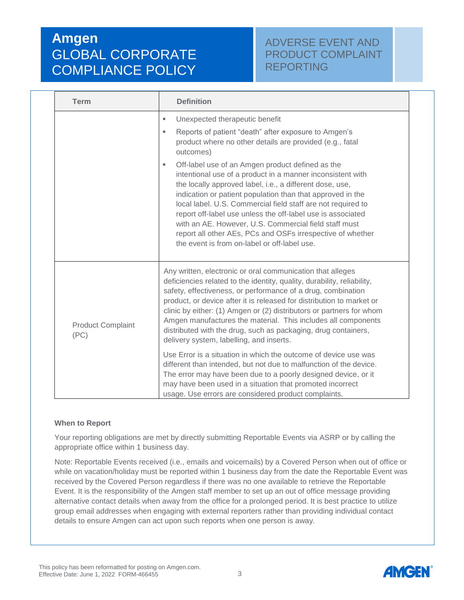### ADVERSE EVENT AND PRODUCT COMPLAINT REPORTING

| <b>Term</b>                      | <b>Definition</b>                                                                                                                                                                                                                                                                                                                                                                                                                                                                                                                                                                                                                                                                                                                |
|----------------------------------|----------------------------------------------------------------------------------------------------------------------------------------------------------------------------------------------------------------------------------------------------------------------------------------------------------------------------------------------------------------------------------------------------------------------------------------------------------------------------------------------------------------------------------------------------------------------------------------------------------------------------------------------------------------------------------------------------------------------------------|
|                                  | Unexpected therapeutic benefit<br>ш<br>Reports of patient "death" after exposure to Amgen's<br>٠<br>product where no other details are provided (e.g., fatal<br>outcomes)<br>Off-label use of an Amgen product defined as the<br>٠<br>intentional use of a product in a manner inconsistent with<br>the locally approved label, i.e., a different dose, use,<br>indication or patient population than that approved in the<br>local label. U.S. Commercial field staff are not required to<br>report off-label use unless the off-label use is associated<br>with an AE. However, U.S. Commercial field staff must<br>report all other AEs, PCs and OSFs irrespective of whether<br>the event is from on-label or off-label use. |
| <b>Product Complaint</b><br>(PC) | Any written, electronic or oral communication that alleges<br>deficiencies related to the identity, quality, durability, reliability,<br>safety, effectiveness, or performance of a drug, combination<br>product, or device after it is released for distribution to market or<br>clinic by either: (1) Amgen or (2) distributors or partners for whom<br>Amgen manufactures the material. This includes all components<br>distributed with the drug, such as packaging, drug containers,<br>delivery system, labelling, and inserts.                                                                                                                                                                                            |
|                                  | Use Error is a situation in which the outcome of device use was<br>different than intended, but not due to malfunction of the device.<br>The error may have been due to a poorly designed device, or it<br>may have been used in a situation that promoted incorrect<br>usage. Use errors are considered product complaints.                                                                                                                                                                                                                                                                                                                                                                                                     |

#### **When to Report**

Your reporting obligations are met by directly submitting Reportable Events via ASRP or by calling the appropriate office within 1 business day.

Note: Reportable Events received (i.e., emails and voicemails) by a Covered Person when out of office or while on vacation/holiday must be reported within 1 business day from the date the Reportable Event was received by the Covered Person regardless if there was no one available to retrieve the Reportable Event. It is the responsibility of the Amgen staff member to set up an out of office message providing alternative contact details when away from the office for a prolonged period. It is best practice to utilize group email addresses when engaging with external reporters rather than providing individual contact details to ensure Amgen can act upon such reports when one person is away.

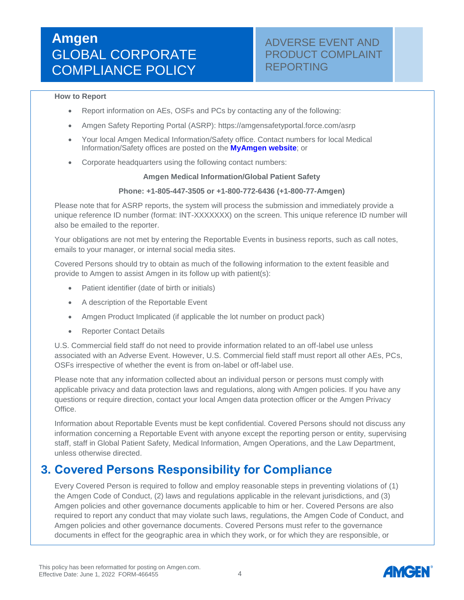### ADVERSE EVENT AND PRODUCT COMPLAINT REPORTING

#### **How to Report**

- Report information on AEs, OSFs and PCs by contacting any of the following:
- Amgen Safety Reporting Portal (ASRP): https://amgensafetyportal.force.com/asrp
- Your local Amgen Medical Information/Safety office. Contact numbers for local Medical Information/Safety offices are posted on the **[MyAmgen website](https://myamgen.amgen.com/complianceandpolicies/Pages/Reporting-Adverse-Events.aspx)**; or
- Corporate headquarters using the following contact numbers:

#### **Amgen Medical Information/Global Patient Safety**

#### **Phone: +1-805-447-3505 or +1-800-772-6436 (+1-800-77-Amgen)**

Please note that for ASRP reports, the system will process the submission and immediately provide a unique reference ID number (format: INT-XXXXXXX) on the screen. This unique reference ID number will also be emailed to the reporter.

Your obligations are not met by entering the Reportable Events in business reports, such as call notes, emails to your manager, or internal social media sites.

Covered Persons should try to obtain as much of the following information to the extent feasible and provide to Amgen to assist Amgen in its follow up with patient(s):

- Patient identifier (date of birth or initials)
- A description of the Reportable Event
- Amgen Product Implicated (if applicable the lot number on product pack)
- Reporter Contact Details

U.S. Commercial field staff do not need to provide information related to an off-label use unless associated with an Adverse Event. However, U.S. Commercial field staff must report all other AEs, PCs, OSFs irrespective of whether the event is from on-label or off-label use.

Please note that any information collected about an individual person or persons must comply with applicable privacy and data protection laws and regulations, along with Amgen policies. If you have any questions or require direction, contact your local Amgen data protection officer or the Amgen Privacy Office.

Information about Reportable Events must be kept confidential. Covered Persons should not discuss any information concerning a Reportable Event with anyone except the reporting person or entity, supervising staff, staff in Global Patient Safety, Medical Information, Amgen Operations, and the Law Department, unless otherwise directed.

### **3. Covered Persons Responsibility for Compliance**

Every Covered Person is required to follow and employ reasonable steps in preventing violations of (1) the Amgen Code of Conduct, (2) laws and regulations applicable in the relevant jurisdictions, and (3) Amgen policies and other governance documents applicable to him or her. Covered Persons are also required to report any conduct that may violate such laws, regulations, the Amgen Code of Conduct, and Amgen policies and other governance documents. Covered Persons must refer to the governance documents in effect for the geographic area in which they work, or for which they are responsible, or